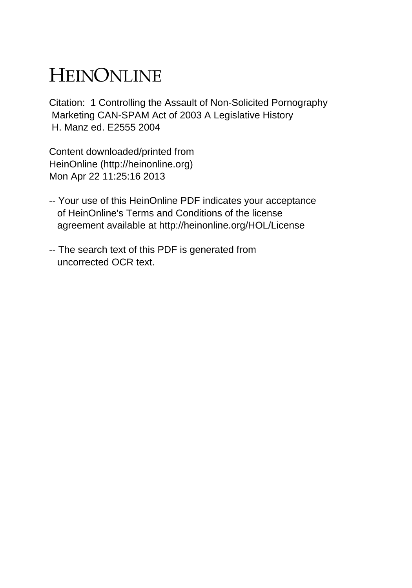# HEINONLINE

Citation: 1 Controlling the Assault of Non-Solicited Pornography Marketing CAN-SPAM Act of 2003 A Legislative History H. Manz ed. E2555 2004

Content downloaded/printed from HeinOnline (http://heinonline.org) Mon Apr 22 11:25:16 2013

- -- Your use of this HeinOnline PDF indicates your acceptance of HeinOnline's Terms and Conditions of the license agreement available at http://heinonline.org/HOL/License
- -- The search text of this PDF is generated from uncorrected OCR text.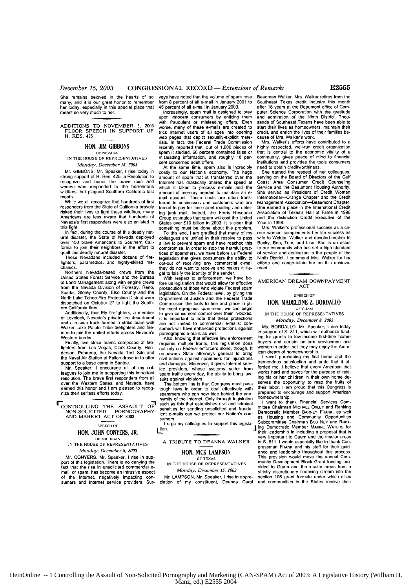*December 15, 2003* CONGRESSIONAL RECORD -Extensions *of Remarks* **E2555**

her today, especially in this special place that 45 percent of all e-mail in January 2003.<br>meant so very much to her. [ Increasingly, spam mail is designed to prey

strong support of H. Res. 425, a Resolution to amount of spam that is transferred over the serving on the Board of Directors of the Gulf counterparties and honor the brance of the Gulf counterparties of the Gulf counterpar women who responded to the horrendous which it takes to process e-mails and the Service and the Beaumont Housing Authority.<br>Wildfires that plagued Southern California last amount of memory needed to maintain an e- She serv wildfires that plagued Southern California last amount of memory needed to maintain an e- She served as President of Credit Women<br>month. mail account These costs are often trans- International-Orange Chapter and the Credit

responders from the State of California bravely forced to pay for time spent reading and delet- She earned a place in the International Credit<br>risked their lives to fight these wildfires, many ing junk mail, Indeed, the Fe risked their lives to fight these wildfires, many ing junk mail. Indeed, the Ferris Research Association of Texas's Hall of Fame in **1996** Americans are less aware that hundreds of Group estimates that spare will cost the United<br>Nevada's first responders were also enlisted in Crates over \$10 billion in 2003. It is clear that Nevada's first responders were also enlisted in States over \$10 billion in 2003. It is clear that Year in **1998.**

Northern Nevada-based crews from the United States Forest Service and the Bureau With respect to enforcement, we have be-<br>of Land Management along with engine crews fore us legislation that would allow for effective from the Nevada Division of Forestry, Reno, prosecution of those who violate Federal sparm Sparks, Storey County, Elko County and the legislation. On the Federal level, by giving the<br>North Lake Tahoe Fire Protection District were penartment of Justice and the Federal Trade North Lake Tahoe Fire Protection District were Department of Justice and the Federal Trade<br>dispatched on October 27 to fight the South-Commission the tools to fine and place in jail

of Lovelock, Nevada's private fire department It is important to note that these protections *Monday, December 8, 2003* and a rescue truck formed a strike team with are not limited to commercial e-mails; con-<br>Walker Lake Paiute Tribe firefighters and fire- sumers will have enhanced protections against Ms. BORDALLO. Mr. Speaker, I rise today men to join the united efforts across Nevada's pornographic e-mails as well.<br>Western border. in support of **S. authorize fund-support of the support of the support of the fund-**

derson, Pahrump, the Nevada Test Site and

resolution. The brave first responders from all suits against violators.<br>The brave first responders from all suits against violators. over the Western States, and Nevada, have suits against violators.<br>The Western States, and Nevada, have The bottom line is that Congress must pass serves the opportunity to reap the fruits of<br>The medicine is that this Cong earned this honor and I am pleased to recog-<br>nize their selfless efforts today. Spammers who can now hide behind the ano-<br>spammers who can now hide behind the ano- prepared to encourage and support American

**ONTROLLING THE ASSAULT OF such as this that establishes civil and criminal I want to thank rinding in the Chairman MichAEL OXLEY and Ranking unsolicited and fraudu-<br>NON-SOLLCITED PORNOGRAPHY penalties for sending unsolici** 

fact that the rise in unsolicited commercial *e-*<br>
mail, or spam, has become an intrusive aspect *Monday, December 15, 2003*<br>
mail, or spam, has become an intrusive aspect *Monday, December 15, 2003* sumers and Internet, negatively impacting con-<br>sumers and Internet service providers. Sur- ciation of my constituent, Deanna Carol and communities in the States receive their<br>sumers and Internet service providers. Sur- cia

She remains beloved in the hearts of so veys have noted that the volume of spam rose Beadman Walker. Mrs. Walker retires from the<br>many, and it is our great honor to remember from 8 percent of all e-mail in January 2001 to

upon innocent consumers by enticing them with fraudulent or misleading offers. Even ADDITIONS TO NOVEMBER 5, 2003 works, many of these e-mails are created to start their lives as homeowers, maintain their<br>FLOOR SPEECH IN SUPPORT OF trick internet users of all ages into opening credit, and enrich the lives rials. In fact, the Federal Trade Commission Mrs. Walker's efforts have contributed to a<br>recently reported that, out of 1,000 pieces of highly respected, well-run credit organization HON. JIM GIBBONS **recently reported that, out of 1,000 pieces of highly respected, well-run credit organization<br>of NEVADA spam it studied, 66 percent contained false or that is central to the economic vitality of a** OF NEVADA spar it studied, **66** percent contained false or that is central to the economic vitality of a **IN IN 2018 THE HOUSE OF REPRESENTATIVES** misleading information, and roughly 18 per- community, gives peace of mind to financial<br>Cent concerned adult offers.<br> **IN IN 2018 THE MOUSE CONSUMERS** 

Monday, December 15, 2003<br>Mr. GIBBONS, Mr. Speaker, I rise today in costly to our Nation's economy. The huge She earned the respect of her colleagues,<br>In a costly to our Nation's economy. The huge She earned the respect of Internet has drastically altered the speed at mail account. These costs are often trans-<br>While we all recognize that hundreds of first farred to businesses and customers who are While we all recognize that hundreds of first ferred to businesses and customers who are Management Association-Beaumont Chapter.<br>The responders from the State of California bravely forced to pay for time spent reading and

For the state of the effort to compromise. In order to stop the harmful prac-<br>quell this deadly natural disaster. In order to stop the harmful prac-<br>quell this deadly natural disaster. fighters, paramedics, and highly-skilled me- opt-out of receiving any commercial e-mail chanics.<br>Northern Nevada-based crews from the gall to falsify the identity of the sender.

With respect to enforcement, we have be-<br>fore us legislation that would allow for effective AMERICAN DREAM DOWNPAYMENT From the redistrict on October 27 to fight the South-<br>dispatched on October 27 to fight the South- Commission the tools to fine and place in jail **HON. MADELEINE Z. BORDALLO**<br>em California fires. n California fires. **the most egregious spammers, we can begin** OF GUAM OF GUAM<br>Additionally, four Ely firefighters, a member to give consumers control over their in-boxes. IN THE HOUSE OF REPRESENTATIVES **EXTREM** Fighters of the member of the state of the consumers control over their in-boxes. are not limited to commercial e-mails; con-

Finally, two strike teams composed of fire-<br>Finally, two strike teams composed of fire-<br>finally, then and certain uniform services multiple fronts, this legislation does<br>finally, then service persually and certain enforcer from Instantive from Laos Vegistation Gounty, Commen in order that they may enjoy the Amer-<br>not rely on Federal enforcers alone, though. It women in order that they may enjoy the Amer-<br>empowers State attorneys general to b the Naval Air Station at Fallon drove in to offer civil actions against spammers for injunctions I recall purchasing my first home and the civil actions against spammers for injunctions I recall purchasing my first home an sivil admoss against spanniers for injunctions<br>and damages. Moreover, it gives Internet serv-<br>ice a providers, whose systems suffer from forded me. I believe that every American that Mr. Speaker, I encourage all of my col- ice providers, whose systems suffer from forded me. I believe that every American that<br>agree to join me in supporting this important engin reffic avany day the ability to bring law leagues to join me in supporting this important sparm traffic every day, the ability to bring law- works hard and saves for the purpose of rais-<br>resolution. The brave first resonniers from all such a seriest violation. The

> spanning wind can now more bening the Internet. Only through legislation homeownership.<br>such as this that establishes civil and criminal I want to the penalties for sending unsolicited and fraudu-<br>lent e-mails can we protect our Nation's con-

many contracts of all e-mail in January 2001 to Southeast Texas credit industry this month<br> $\frac{1}{2}$  of remember of all e-mail in January 2001 to Southeast Texas credit industry this month puter Science Corporation with the gratitude<br>and admiration of the Ninth District Thousands of Southeast Texans have been able to<br>start their lives as homeowners, maintain their ADDITIONS TO NOVEMBER 5, 2003 worse, many of these e-mails are created to start their lives as homeowners, maintain their<br>FLOOR SPEECH IN SUPPORT OF trick Internet users of all ages into opening credit, and enrich the live

*Monday, December 15, 2003* cent concerned adult offers. institutions and provides the tools consumers At the same time, spar also is incredibly need to obtain creditworthiness.

something must be done about this problem. Mrs. Walker's professional success as a ca-<br>In fact, during the course of this deadly nat-<br>To this end, I am gratified that many of my reer woman complements her life success as In fact, during the course of this deadly nat-<br>ural disaster, the State of Nevada deployed colleagues are unified in their resolve to pass wife to Weldon Walker and devoted mother to over 450 brave Americans to Southern Cali- a law to prevent spam and have reached this Becky, Ben, Tom, and Lisa. She is an asset<br>fornia to join their neighbors in the effort to compromise in order to stop the harmful prac ment the deadly natural disaster.<br>These Nevadans included dozens of fire- legislation that gives consumers we have before us Federal of service and dedication to the people of the<br>These Nevadans included dozens of fire- le Iegislation that gives consumers the ability to Ninth District. I commend Mrs. Walker for her<br>opt-out of receiving any commercial e-mail efforts and congratulate her on this achieve

Western border.<br>Western border. Also, knowing that effective law enforcement ing for grants to low-income first-time home-<br>Finally, two strike teams composed of fire-<br>Finally, two strike teams composed of fire-

CONTROLLING THE ASSAULT OF LINGLING THE WANT TO such a the and unit and **Ranking**<br>That the Chairman Michael OxLEY and Ranking **AND** MARKET **ACT** OF **2003** as Housing and Community Opportunities SPEECH OF THE CHARGE THE CHARGE THE CHARGE THE CHARGE THE CHARGE THE CHARGE THE CHARGE THE CHARGE THE CHARGE THE CHARGE THE CHARGE THE CHARGE THE CHARGE THE CHARGE THE CHARGE THE CHARGE THE CHARGE THE CHARGE THE CHARGE THE OF MICHIGAN **OF ALCONSTRATIVES** A TRIBUTE TO DEANNA WALKER in S. 811. I would especially like to thank Con-<br>IN THE HOUSE OF REPRESENTATIVES A TRIBUTE TO DEANNA WALKER in S. 811. I would especially like to thank Congressman FRANK and his staff for their guid-Monday. December **8.** 2003 **HON. NICK LAMPSON** ance and leadership throughout this process. Mr. CONYERS. Mr. Speaker, I rise in sup-<br>Mr. Speaker, I dise in sup-<br>Mr. Speaker, I dise in the superior of the annual Com-<br>Mr. Speaker, I dise in the superior of the state annual Comport of this legislation. There is no denying the **IN THE HOUSE OF REPRESENTATIVES** munity Development Block Grant funding pro-<br>fact that the rise in unsolicited commercial email, or spam, has become an intrusive aspect and *Monday, December 15, 2003* strictly discretionary financing stream into the mail of the Internet, negatively impacting con- Mr. LAMPSON. Mr. Speaker, I rise in appre- sect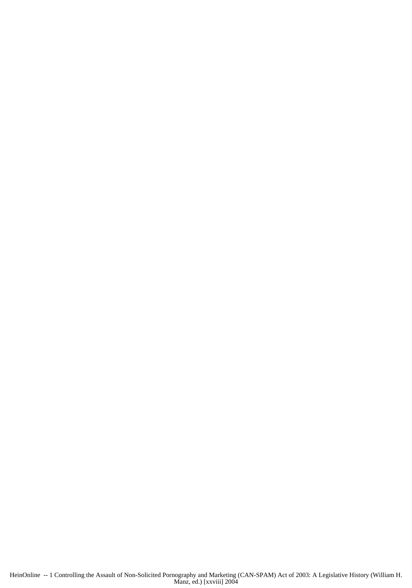HeinOnline -- 1 Controlling the Assault of Non-Solicited Pornography and Marketing (CAN-SPAM) Act of 2003: A Legislative History (William H. Manz, ed.) [xxviii] 2004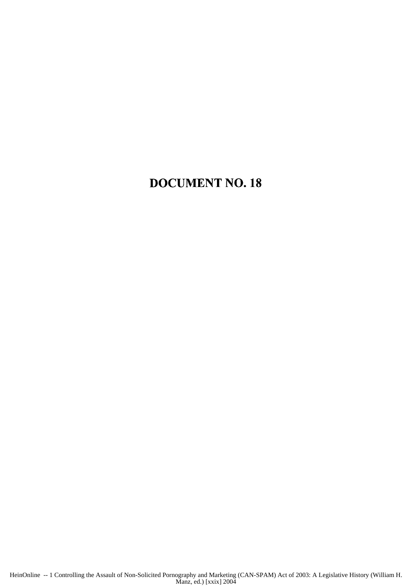## **DOCUMENT NO. 18**